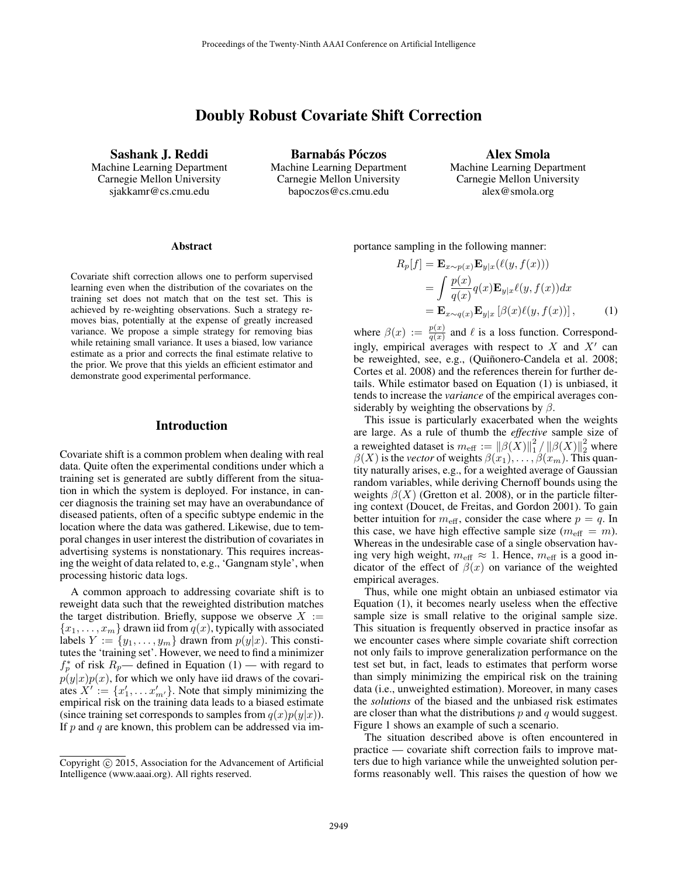# Doubly Robust Covariate Shift Correction

Sashank J. Reddi Machine Learning Department Carnegie Mellon University sjakkamr@cs.cmu.edu

Barnabás Póczos

Machine Learning Department Carnegie Mellon University bapoczos@cs.cmu.edu

Alex Smola Machine Learning Department Carnegie Mellon University alex@smola.org

#### Abstract

Covariate shift correction allows one to perform supervised learning even when the distribution of the covariates on the training set does not match that on the test set. This is achieved by re-weighting observations. Such a strategy removes bias, potentially at the expense of greatly increased variance. We propose a simple strategy for removing bias while retaining small variance. It uses a biased, low variance estimate as a prior and corrects the final estimate relative to the prior. We prove that this yields an efficient estimator and demonstrate good experimental performance.

# Introduction

Covariate shift is a common problem when dealing with real data. Quite often the experimental conditions under which a training set is generated are subtly different from the situation in which the system is deployed. For instance, in cancer diagnosis the training set may have an overabundance of diseased patients, often of a specific subtype endemic in the location where the data was gathered. Likewise, due to temporal changes in user interest the distribution of covariates in advertising systems is nonstationary. This requires increasing the weight of data related to, e.g., 'Gangnam style', when processing historic data logs.

A common approach to addressing covariate shift is to reweight data such that the reweighted distribution matches the target distribution. Briefly, suppose we observe  $X :=$  ${x_1, \ldots, x_m}$  drawn iid from  $q(x)$ , typically with associated labels  $Y := \{y_1, \ldots, y_m\}$  drawn from  $p(y|x)$ . This constitutes the 'training set'. However, we need to find a minimizer  $f_p^*$  of risk  $R_p$ — defined in Equation (1) — with regard to  $p(y|x)p(x)$ , for which we only have iid draws of the covariates  $X' := \{x'_1, \dots x'_{m'}\}$ . Note that simply minimizing the empirical risk on the training data leads to a biased estimate (since training set corresponds to samples from  $q(x)p(y|x)$ ). If  $p$  and  $q$  are known, this problem can be addressed via importance sampling in the following manner:

$$
R_p[f] = \mathbf{E}_{x \sim p(x)} \mathbf{E}_{y|x}(\ell(y, f(x)))
$$
  
= 
$$
\int \frac{p(x)}{q(x)} q(x) \mathbf{E}_{y|x} \ell(y, f(x)) dx
$$
  
= 
$$
\mathbf{E}_{x \sim q(x)} \mathbf{E}_{y|x} [\beta(x) \ell(y, f(x))],
$$
 (1)

where  $\beta(x) := \frac{p(x)}{q(x)}$  and  $\ell$  is a loss function. Correspondingly, empirical averages with respect to  $X$  and  $X'$  can be reweighted, see, e.g., (Quiñonero-Candela et al. 2008; Cortes et al. 2008) and the references therein for further details. While estimator based on Equation (1) is unbiased, it tends to increase the *variance* of the empirical averages considerably by weighting the observations by  $\beta$ .

This issue is particularly exacerbated when the weights are large. As a rule of thumb the *effective* sample size of a reweighted dataset is  $m_{\text{eff}} := ||\beta(X)||_1^2 / ||\beta(X)||_2^2$  where  $\beta(X)$  is the *vector* of weights  $\beta(x_1), \ldots, \beta(x_m)$ . This quantity naturally arises, e.g., for a weighted average of Gaussian random variables, while deriving Chernoff bounds using the weights  $\beta(X)$  (Gretton et al. 2008), or in the particle filtering context (Doucet, de Freitas, and Gordon 2001). To gain better intuition for  $m_{\text{eff}}$ , consider the case where  $p = q$ . In this case, we have high effective sample size  $(m_{\text{eff}} = m)$ . Whereas in the undesirable case of a single observation having very high weight,  $m_{\text{eff}} \approx 1$ . Hence,  $m_{\text{eff}}$  is a good indicator of the effect of  $\beta(x)$  on variance of the weighted empirical averages.

Thus, while one might obtain an unbiased estimator via Equation (1), it becomes nearly useless when the effective sample size is small relative to the original sample size. This situation is frequently observed in practice insofar as we encounter cases where simple covariate shift correction not only fails to improve generalization performance on the test set but, in fact, leads to estimates that perform worse than simply minimizing the empirical risk on the training data (i.e., unweighted estimation). Moreover, in many cases the *solutions* of the biased and the unbiased risk estimates are closer than what the distributions  $p$  and  $q$  would suggest. Figure 1 shows an example of such a scenario.

The situation described above is often encountered in practice — covariate shift correction fails to improve matters due to high variance while the unweighted solution performs reasonably well. This raises the question of how we

Copyright (c) 2015, Association for the Advancement of Artificial Intelligence (www.aaai.org). All rights reserved.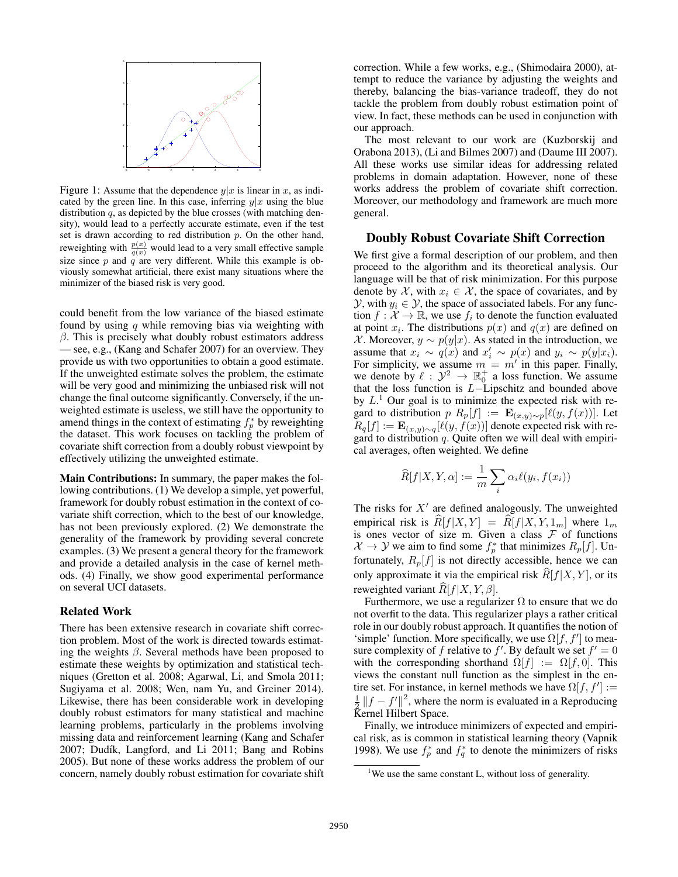

Figure 1: Assume that the dependence  $y|x$  is linear in x, as indicated by the green line. In this case, inferring  $y|x$  using the blue distribution  $q$ , as depicted by the blue crosses (with matching density), would lead to a perfectly accurate estimate, even if the test set is drawn according to red distribution  $p$ . On the other hand, reweighting with  $\frac{p(x)}{q(x)}$  would lead to a very small effective sample size since  $p$  and  $q$  are very different. While this example is obviously somewhat artificial, there exist many situations where the minimizer of the biased risk is very good.

could benefit from the low variance of the biased estimate found by using  $q$  while removing bias via weighting with  $\beta$ . This is precisely what doubly robust estimators address — see, e.g., (Kang and Schafer 2007) for an overview. They provide us with two opportunities to obtain a good estimate. If the unweighted estimate solves the problem, the estimate will be very good and minimizing the unbiased risk will not change the final outcome significantly. Conversely, if the unweighted estimate is useless, we still have the opportunity to amend things in the context of estimating  $f_p^*$  by reweighting the dataset. This work focuses on tackling the problem of covariate shift correction from a doubly robust viewpoint by effectively utilizing the unweighted estimate.

Main Contributions: In summary, the paper makes the following contributions. (1) We develop a simple, yet powerful, framework for doubly robust estimation in the context of covariate shift correction, which to the best of our knowledge, has not been previously explored. (2) We demonstrate the generality of the framework by providing several concrete examples. (3) We present a general theory for the framework and provide a detailed analysis in the case of kernel methods. (4) Finally, we show good experimental performance on several UCI datasets.

#### Related Work

There has been extensive research in covariate shift correction problem. Most of the work is directed towards estimating the weights  $\beta$ . Several methods have been proposed to estimate these weights by optimization and statistical techniques (Gretton et al. 2008; Agarwal, Li, and Smola 2011; Sugiyama et al. 2008; Wen, nam Yu, and Greiner 2014). Likewise, there has been considerable work in developing doubly robust estimators for many statistical and machine learning problems, particularly in the problems involving missing data and reinforcement learning (Kang and Schafer 2007; Dudík, Langford, and Li 2011; Bang and Robins 2005). But none of these works address the problem of our concern, namely doubly robust estimation for covariate shift correction. While a few works, e.g., (Shimodaira 2000), attempt to reduce the variance by adjusting the weights and thereby, balancing the bias-variance tradeoff, they do not tackle the problem from doubly robust estimation point of view. In fact, these methods can be used in conjunction with our approach.

The most relevant to our work are (Kuzborskij and Orabona 2013), (Li and Bilmes 2007) and (Daume III 2007). All these works use similar ideas for addressing related problems in domain adaptation. However, none of these works address the problem of covariate shift correction. Moreover, our methodology and framework are much more general.

#### Doubly Robust Covariate Shift Correction

We first give a formal description of our problem, and then proceed to the algorithm and its theoretical analysis. Our language will be that of risk minimization. For this purpose denote by X, with  $x_i \in \mathcal{X}$ , the space of covariates, and by  $\mathcal{Y}$ , with  $y_i \in \mathcal{Y}$ , the space of associated labels. For any function  $f: \mathcal{X} \to \mathbb{R}$ , we use  $f_i$  to denote the function evaluated at point  $x_i$ . The distributions  $p(x)$  and  $q(x)$  are defined on X. Moreover,  $y \sim p(y|x)$ . As stated in the introduction, we assume that  $x_i \sim q(x)$  and  $x'_i \sim p(x)$  and  $y_i \sim p(y|x_i)$ . For simplicity, we assume  $m = m'$  in this paper. Finally, we denote by  $\ell : \mathcal{Y}^2 \to \mathbb{R}_0^+$  a loss function. We assume that the loss function is L−Lipschitz and bounded above by  $L<sup>1</sup>$  Our goal is to minimize the expected risk with regard to distribution p  $R_p[f] := \mathbf{E}_{(x,y)\sim p}[\ell(y, f(x))].$  Let  $R_q[f] := \mathbf{E}_{(x,y)\sim q}[\ell(y, f(x))]$  denote expected risk with regard to distribution  $q$ . Quite often we will deal with empirical averages, often weighted. We define

$$
\widehat{R}[f|X,Y,\alpha] := \frac{1}{m} \sum_{i} \alpha_i \ell(y_i, f(x_i))
$$

The risks for  $X'$  are defined analogously. The unweighted empirical risk is  $R[f|X, Y] = R[f|X, Y, 1_m]$  where  $1_m$ is ones vector of size m. Given a class  $F$  of functions  $\mathcal{X} \to \mathcal{Y}$  we aim to find some  $f_p^*$  that minimizes  $R_p[f]$ . Unfortunately,  $R_p[f]$  is not directly accessible, hence we can only approximate it via the empirical risk  $\widehat{R}[f|X, Y]$ , or its reweighted variant  $R[f|X, Y, \beta]$ .

Furthermore, we use a regularizer  $\Omega$  to ensure that we do not overfit to the data. This regularizer plays a rather critical role in our doubly robust approach. It quantifies the notion of 'simple' function. More specifically, we use  $\Omega[f, f']$  to measure complexity of f relative to f'. By default we set  $f' = 0$ with the corresponding shorthand  $\Omega[f] := \Omega[f, 0]$ . This views the constant null function as the simplest in the entire set. For instance, in kernel methods we have  $\Omega[f, f'] :=$  $\frac{1}{2} ||f - f'||^2$ , where the norm is evaluated in a Reproducing Kernel Hilbert Space.

Finally, we introduce minimizers of expected and empirical risk, as is common in statistical learning theory (Vapnik 1998). We use  $f_p^*$  and  $f_q^*$  to denote the minimizers of risks

<sup>&</sup>lt;sup>1</sup>We use the same constant L, without loss of generality.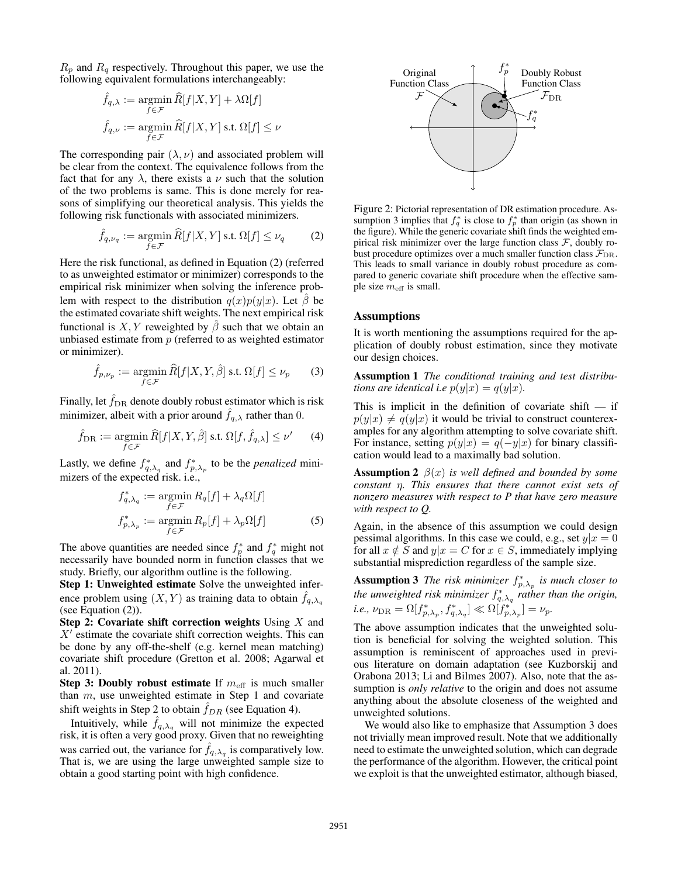$R_p$  and  $R_q$  respectively. Throughout this paper, we use the following equivalent formulations interchangeably:

$$
\hat{f}_{q,\lambda} := \operatorname*{argmin}_{f \in \mathcal{F}} \hat{R}[f|X,Y] + \lambda \Omega[f]
$$
\n
$$
\hat{f}_{q,\nu} := \operatorname*{argmin}_{f \in \mathcal{F}} \hat{R}[f|X,Y] \text{ s.t. } \Omega[f] \le \nu
$$

The corresponding pair  $(\lambda, \nu)$  and associated problem will be clear from the context. The equivalence follows from the fact that for any  $\lambda$ , there exists a  $\nu$  such that the solution of the two problems is same. This is done merely for reasons of simplifying our theoretical analysis. This yields the following risk functionals with associated minimizers.

$$
\hat{f}_{q,\nu_q} := \operatorname*{argmin}_{f \in \mathcal{F}} \hat{R}[f|X,Y] \text{ s.t. } \Omega[f] \le \nu_q \tag{2}
$$

Here the risk functional, as defined in Equation (2) (referred to as unweighted estimator or minimizer) corresponds to the empirical risk minimizer when solving the inference problem with respect to the distribution  $q(x)p(y|x)$ . Let  $\beta$  be the estimated covariate shift weights. The next empirical risk functional is X, Y reweighted by  $\hat{\beta}$  such that we obtain an unbiased estimate from  $p$  (referred to as weighted estimator or minimizer).

$$
\hat{f}_{p,\nu_p} := \operatorname*{argmin}_{f \in \mathcal{F}} \hat{R}[f|X,Y,\hat{\beta}] \text{ s.t. } \Omega[f] \le \nu_p \qquad (3)
$$

Finally, let  $\hat{f}_{\text{DR}}$  denote doubly robust estimator which is risk minimizer, albeit with a prior around  $\hat{f}_{q,\lambda}$  rather than 0.

$$
\hat{f}_{\text{DR}} := \operatorname*{argmin}_{f \in \mathcal{F}} \hat{R}[f|X, Y, \hat{\beta}] \text{ s.t. } \Omega[f, \hat{f}_{q,\lambda}] \le \nu' \qquad (4)
$$

Lastly, we define  $f_{q,\lambda_q}^*$  and  $f_{p,\lambda_p}^*$  to be the *penalized* minimizers of the expected risk. i.e.

$$
f_{q,\lambda_q}^* := \operatorname*{argmin}_{f \in \mathcal{F}} R_q[f] + \lambda_q \Omega[f]
$$

$$
f_{p,\lambda_p}^* := \operatorname*{argmin}_{f \in \mathcal{F}} R_p[f] + \lambda_p \Omega[f]
$$
(5)

The above quantities are needed since  $f_p^*$  and  $f_q^*$  might not necessarily have bounded norm in function classes that we study. Briefly, our algorithm outline is the following.

Step 1: Unweighted estimate Solve the unweighted inference problem using  $(X, Y)$  as training data to obtain  $\hat{f}_{q, \lambda_q}$ (see Equation (2)).

Step 2: Covariate shift correction weights Using  $X$  and  $X'$  estimate the covariate shift correction weights. This can be done by any off-the-shelf (e.g. kernel mean matching) covariate shift procedure (Gretton et al. 2008; Agarwal et al. 2011).

Step 3: Doubly robust estimate If  $m_{\text{eff}}$  is much smaller than  $m$ , use unweighted estimate in Step 1 and covariate shift weights in Step 2 to obtain  $\hat{f}_{DR}$  (see Equation 4).

Intuitively, while  $\hat{f}_{q,\lambda_q}$  will not minimize the expected risk, it is often a very good proxy. Given that no reweighting was carried out, the variance for  $\hat{f}_{q, \lambda_q}$  is comparatively low. That is, we are using the large unweighted sample size to obtain a good starting point with high confidence.



Figure 2: Pictorial representation of DR estimation procedure. Assumption 3 implies that  $f_q^*$  is close to  $f_p^*$  than origin (as shown in the figure). While the generic covariate shift finds the weighted empirical risk minimizer over the large function class  $\mathcal{F}$ , doubly robust procedure optimizes over a much smaller function class  $\mathcal{F}_{\text{DR}}$ . This leads to small variance in doubly robust procedure as compared to generic covariate shift procedure when the effective sample size  $m_{\text{eff}}$  is small.

## Assumptions

It is worth mentioning the assumptions required for the application of doubly robust estimation, since they motivate our design choices.

Assumption 1 *The conditional training and test distributions are identical i.e*  $p(y|x) = q(y|x)$ *.* 

This is implicit in the definition of covariate shift  $-$  if  $p(y|x) \neq q(y|x)$  it would be trivial to construct counterexamples for any algorithm attempting to solve covariate shift. For instance, setting  $p(y|x) = q(-y|x)$  for binary classification would lead to a maximally bad solution.

Assumption 2 β(x) *is well defined and bounded by some constant* η*. This ensures that there cannot exist sets of nonzero measures with respect to P that have zero measure with respect to Q.*

Again, in the absence of this assumption we could design pessimal algorithms. In this case we could, e.g., set  $y|x=0$ for all  $x \notin S$  and  $y|x = C$  for  $x \in S$ , immediately implying substantial misprediction regardless of the sample size.

**Assumption 3** The risk minimizer  $f_{p,\lambda_p}^*$  is much closer to the unweighted risk minimizer  $f_{q,\lambda_q}^*$  rather than the origin,  $i.e.,\, \nu_{\rm DR}=\Omega[f^*_{p,\lambda_p},f^*_{q,\lambda_q}] \ll \Omega[f^{*^*}_{p,\lambda_p}] = \nu_p.$ 

The above assumption indicates that the unweighted solution is beneficial for solving the weighted solution. This assumption is reminiscent of approaches used in previous literature on domain adaptation (see Kuzborskij and Orabona 2013; Li and Bilmes 2007). Also, note that the assumption is *only relative* to the origin and does not assume anything about the absolute closeness of the weighted and unweighted solutions.

We would also like to emphasize that Assumption 3 does not trivially mean improved result. Note that we additionally need to estimate the unweighted solution, which can degrade the performance of the algorithm. However, the critical point we exploit is that the unweighted estimator, although biased,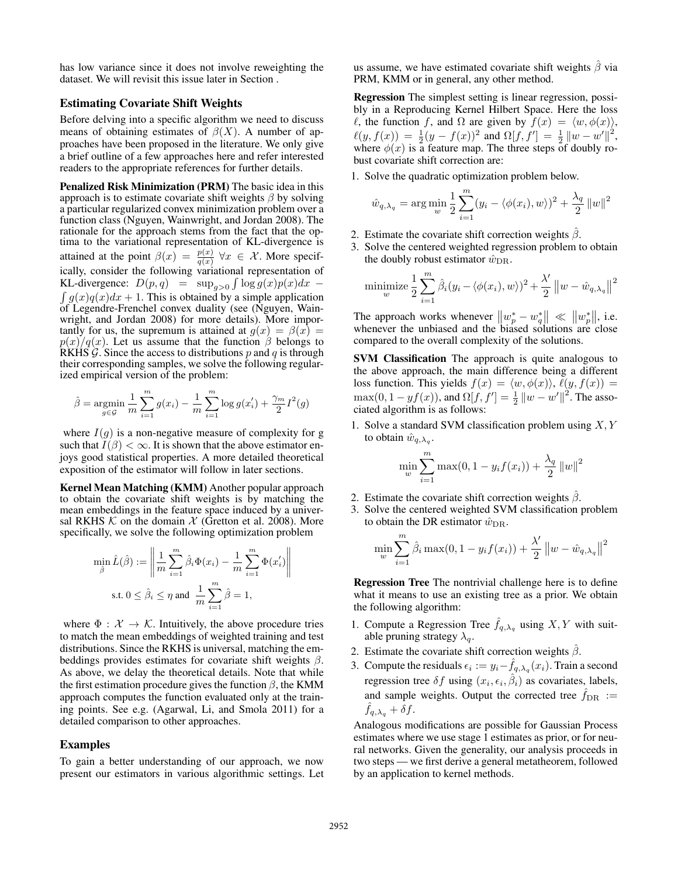has low variance since it does not involve reweighting the dataset. We will revisit this issue later in Section .

# Estimating Covariate Shift Weights

Before delving into a specific algorithm we need to discuss means of obtaining estimates of  $\beta(X)$ . A number of approaches have been proposed in the literature. We only give a brief outline of a few approaches here and refer interested readers to the appropriate references for further details.

Penalized Risk Minimization (PRM) The basic idea in this approach is to estimate covariate shift weights  $\beta$  by solving a particular regularized convex minimization problem over a function class (Nguyen, Wainwright, and Jordan 2008). The rationale for the approach stems from the fact that the optima to the variational representation of KL-divergence is attained at the point  $\beta(x) = \frac{p(x)}{q(x)} \,\forall x \in \mathcal{X}$ . More specifically, consider the following variational representation of KL-divergence:  $D(p,q) = \sup_{g>0} \int \log g(x)p(x)dx$  –  $\int g(x)q(x)dx + 1$ . This is obtained by a simple application of Legendre-Frenchel convex duality (see (Nguyen, Wainwright, and Jordan 2008) for more details). More importantly for us, the supremum is attained at  $g(x) = \beta(x) =$  $p(x)/q(x)$ . Let us assume that the function  $\beta$  belongs to RKHS  $\mathcal G$ . Since the access to distributions p and q is through their corresponding samples, we solve the following regularized empirical version of the problem:

$$
\hat{\beta} = \underset{g \in \mathcal{G}}{\text{argmin}} \frac{1}{m} \sum_{i=1}^{m} g(x_i) - \frac{1}{m} \sum_{i=1}^{m} \log g(x'_i) + \frac{\gamma_m}{2} I^2(g)
$$

where  $I(g)$  is a non-negative measure of complexity for g such that  $I(\beta) < \infty$ . It is shown that the above estimator enjoys good statistical properties. A more detailed theoretical exposition of the estimator will follow in later sections.

Kernel Mean Matching (KMM) Another popular approach to obtain the covariate shift weights is by matching the mean embeddings in the feature space induced by a universal RKHS  $K$  on the domain  $X$  (Gretton et al. 2008). More specifically, we solve the following optimization problem

$$
\min_{\hat{\beta}} \hat{L}(\hat{\beta}) := \left\| \frac{1}{m} \sum_{i=1}^{m} \hat{\beta}_i \Phi(x_i) - \frac{1}{m} \sum_{i=1}^{m} \Phi(x_i')
$$
  
s.t.  $0 \le \hat{\beta}_i \le \eta$  and  $\frac{1}{m} \sum_{i=1}^{m} \hat{\beta} = 1$ ,

where  $\Phi : \mathcal{X} \to \mathcal{K}$ . Intuitively, the above procedure tries to match the mean embeddings of weighted training and test distributions. Since the RKHS is universal, matching the embeddings provides estimates for covariate shift weights  $\beta$ . As above, we delay the theoretical details. Note that while the first estimation procedure gives the function  $\beta$ , the KMM approach computes the function evaluated only at the training points. See e.g. (Agarwal, Li, and Smola 2011) for a detailed comparison to other approaches.

#### Examples

To gain a better understanding of our approach, we now present our estimators in various algorithmic settings. Let

us assume, we have estimated covariate shift weights  $\hat{\beta}$  via PRM, KMM or in general, any other method.

Regression The simplest setting is linear regression, possibly in a Reproducing Kernel Hilbert Space. Here the loss  $\ell$ , the function f, and  $\Omega$  are given by  $f(x) = \langle w, \phi(x) \rangle$ ,  $\ell(y, f(x)) = \frac{1}{2}(y - f(x))^2$  and  $\Omega[f, f'] = \frac{1}{2} ||w - w'||^2$ , where  $\phi(x)$  is a feature map. The three steps of doubly robust covariate shift correction are:

1. Solve the quadratic optimization problem below.

$$
\hat{w}_{q,\lambda_q} = \arg \min_{w} \frac{1}{2} \sum_{i=1}^{m} (y_i - \langle \phi(x_i), w \rangle)^2 + \frac{\lambda_q}{2} ||w||^2
$$

- 2. Estimate the covariate shift correction weights  $\hat{\beta}$ .
- 3. Solve the centered weighted regression problem to obtain the doubly robust estimator  $\hat{w}_{\text{DR}}$ .

minimize 
$$
\frac{1}{2} \sum_{i=1}^{m} \hat{\beta}_i (y_i - \langle \phi(x_i), w \rangle)^2 + \frac{\lambda'}{2} ||w - \hat{w}_{q, \lambda_q}||^2
$$

The approach works whenever  $||w_p^* - w_q^*|| \ll ||w_p^*||$ , i.e. whenever the unbiased and the biased solutions are close compared to the overall complexity of the solutions.

SVM Classification The approach is quite analogous to the above approach, the main difference being a different loss function. This yields  $f(x) = \langle w, \phi(x) \rangle$ ,  $\ell(y, f(x)) =$  $\max(0, 1 - yf(x))$ , and  $\Omega[f, f'] = \frac{1}{2} ||w - w'||^2$ . The associated algorithm is as follows:

1. Solve a standard SVM classification problem using  $X, Y$ to obtain  $\hat{w}_{q, \lambda_q}$ .

$$
\min_{w} \sum_{i=1}^{m} \max(0, 1 - y_i f(x_i)) + \frac{\lambda_q}{2} ||w||^2
$$

- 2. Estimate the covariate shift correction weights  $\hat{\beta}$ .
- 3. Solve the centered weighted SVM classification problem to obtain the DR estimator  $\hat{w}_{\text{DR}}$ .

$$
\min_{w} \sum_{i=1}^{m} \hat{\beta}_{i} \max(0, 1 - y_{i} f(x_{i})) + \frac{\lambda'}{2} ||w - \hat{w}_{q, \lambda_{q}}||^{2}
$$

Regression Tree The nontrivial challenge here is to define what it means to use an existing tree as a prior. We obtain the following algorithm:

- 1. Compute a Regression Tree  $f_{q,\lambda_q}$  using X, Y with suitable pruning strategy  $\lambda_q$ .
- 2. Estimate the covariate shift correction weights  $\hat{\beta}$ .
- 3. Compute the residuals  $\epsilon_i := y_i \hat{f}_{q,\lambda_q}(x_i)$ . Train a second regression tree  $\delta f$  using  $(x_i, \epsilon_i, \hat{\beta}_i)$  as covariates, labels, and sample weights. Output the corrected tree  $\hat{f}_{\text{DR}}$  :=  $\tilde{f}_{q,\lambda_q} + \delta f.$

Analogous modifications are possible for Gaussian Process estimates where we use stage 1 estimates as prior, or for neural networks. Given the generality, our analysis proceeds in two steps — we first derive a general metatheorem, followed by an application to kernel methods.

 $\mathbb{I}$ Ш Ш Ш  $\mathbf{I}$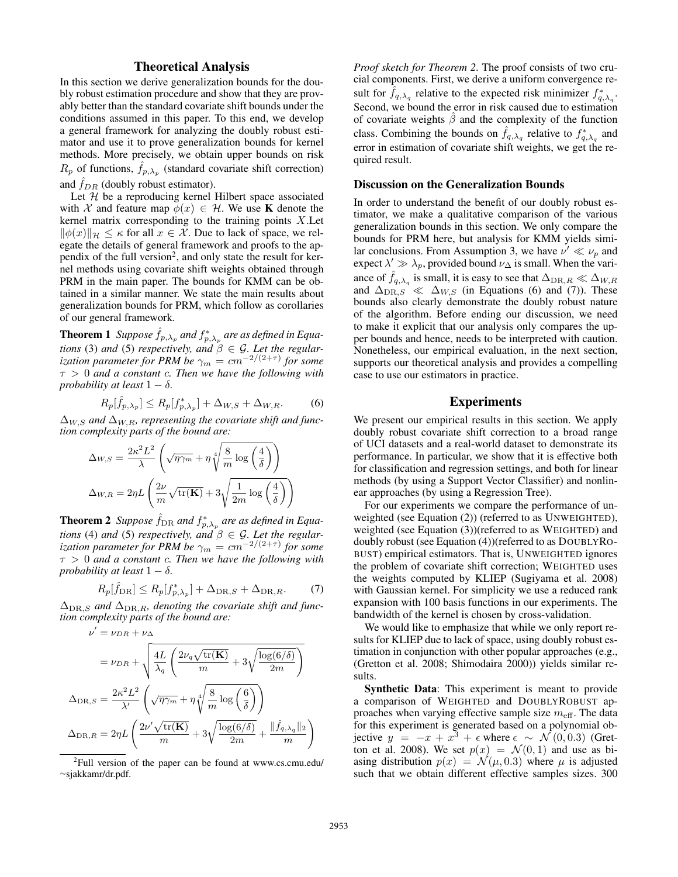# Theoretical Analysis

In this section we derive generalization bounds for the doubly robust estimation procedure and show that they are provably better than the standard covariate shift bounds under the conditions assumed in this paper. To this end, we develop a general framework for analyzing the doubly robust estimator and use it to prove generalization bounds for kernel methods. More precisely, we obtain upper bounds on risk  $R_p$  of functions,  $\hat{f}_{p,\lambda_p}$  (standard covariate shift correction) and  $f_{DR}$  (doubly robust estimator).

Let  $H$  be a reproducing kernel Hilbert space associated with X and feature map  $\phi(x) \in \mathcal{H}$ . We use **K** denote the kernel matrix corresponding to the training points X.Let  $\|\phi(x)\|_{\mathcal{H}} \leq \kappa$  for all  $x \in \mathcal{X}$ . Due to lack of space, we relegate the details of general framework and proofs to the appendix of the full version<sup>2</sup>, and only state the result for kernel methods using covariate shift weights obtained through PRM in the main paper. The bounds for KMM can be obtained in a similar manner. We state the main results about generalization bounds for PRM, which follow as corollaries of our general framework.

**Theorem 1** Suppose  $\hat{f}_{p,\lambda_p}$  and  $f_{p,\lambda_p}^*$  are as defined in Equa*tions* (3) *and* (5) *respectively, and*  $\beta \in \mathcal{G}$ *. Let the regularization parameter for PRM be*  $\gamma_m = cm^{-2/(2+\tau)}$  *for some* τ > 0 *and a constant* c*. Then we have the following with probability at least*  $1 - \delta$ *.* 

$$
R_p[\hat{f}_{p,\lambda_p}] \le R_p[f_{p,\lambda_p}^*] + \Delta_{W,S} + \Delta_{W,R}.\tag{6}
$$

 $\Delta_{W,S}$  and  $\Delta_{W,R}$ , representing the covariate shift and func*tion complexity parts of the bound are:*

$$
\Delta_{W,S} = \frac{2\kappa^2 L^2}{\lambda} \left( \sqrt{\eta \gamma_m} + \eta \sqrt[4]{\frac{8}{m} \log\left(\frac{4}{\delta}\right)} \right)
$$

$$
\Delta_{W,R} = 2\eta L \left( \frac{2\nu}{m} \sqrt{\text{tr}(\mathbf{K})} + 3\sqrt{\frac{1}{2m} \log\left(\frac{4}{\delta}\right)} \right)
$$

**Theorem 2** Suppose  $\hat{f}_{\text{DR}}$  and  $f_{p,\lambda_p}^*$  are as defined in Equa*tions* (4) *and* (5) *respectively, and*  $\beta \in \mathcal{G}$ *. Let the regularization parameter for PRM be*  $\gamma_m = cm^{-2/(2+\tau)}$  *for some* τ > 0 *and a constant* c*. Then we have the following with probability at least*  $1 - \delta$ *.* 

$$
R_p[\hat{f}_{\text{DR}}] \le R_p[f_{p,\lambda_p}^*] + \Delta_{\text{DR},S} + \Delta_{\text{DR},R}.\tag{7}
$$

 $\Delta_{\text{DR},S}$  and  $\Delta_{\text{DR},R}$ , denoting the covariate shift and func*tion complexity parts of the bound are:*

$$
\nu' = \nu_{DR} + \nu_{\Delta}
$$
  
=  $\nu_{DR} + \sqrt{\frac{4L}{\lambda_q} \left( \frac{2\nu_q \sqrt{\text{tr}(\mathbf{K})}}{m} + 3\sqrt{\frac{\log(6/\delta)}{2m}} \right)}$   

$$
\Delta_{\text{DR},S} = \frac{2\kappa^2 L^2}{\lambda'} \left( \sqrt{\eta \gamma_m} + \eta \sqrt[4]{\frac{8}{m} \log \left( \frac{6}{\delta} \right)} \right)
$$
  

$$
\Delta_{\text{DR},R} = 2\eta L \left( \frac{2\nu' \sqrt{\text{tr}(\mathbf{K})}}{m} + 3\sqrt{\frac{\log(6/\delta)}{2m}} + \frac{\|\hat{f}_{q,\lambda_q}\|_2}{m} \right)
$$

<sup>2</sup>Full version of the paper can be found at www.cs.cmu.edu/ <sup>∼</sup>sjakkamr/dr.pdf.

*Proof sketch for Theorem 2*. The proof consists of two crucial components. First, we derive a uniform convergence result for  $\hat{f}_{q,\lambda_q}$  relative to the expected risk minimizer  $f_{q,\lambda_q}^*$ . Second, we bound the error in risk caused due to estimation of covariate weights  $\hat{\beta}$  and the complexity of the function class. Combining the bounds on  $\hat{f}_{q,\lambda_q}$  relative to  $f_{q,\lambda_q}^*$  and error in estimation of covariate shift weights, we get the required result.

# Discussion on the Generalization Bounds

In order to understand the benefit of our doubly robust estimator, we make a qualitative comparison of the various generalization bounds in this section. We only compare the bounds for PRM here, but analysis for KMM yields similar conclusions. From Assumption 3, we have  $\nu' \ll \nu_p$  and expect  $\lambda' \gg \lambda_p$ , provided bound  $\nu_{\Delta}$  is small. When the variance of  $\hat{f}_{q,\lambda_q}$  is small, it is easy to see that  $\Delta_{\text{DR},R} \ll \Delta_{W,R}$ and  $\Delta_{DR,S} \ll \Delta_{W,S}$  (in Equations (6) and (7)). These bounds also clearly demonstrate the doubly robust nature of the algorithm. Before ending our discussion, we need to make it explicit that our analysis only compares the upper bounds and hence, needs to be interpreted with caution. Nonetheless, our empirical evaluation, in the next section, supports our theoretical analysis and provides a compelling case to use our estimators in practice.

# Experiments

We present our empirical results in this section. We apply doubly robust covariate shift correction to a broad range of UCI datasets and a real-world dataset to demonstrate its performance. In particular, we show that it is effective both for classification and regression settings, and both for linear methods (by using a Support Vector Classifier) and nonlinear approaches (by using a Regression Tree).

For our experiments we compare the performance of unweighted (see Equation (2)) (referred to as UNWEIGHTED), weighted (see Equation (3))(referred to as WEIGHTED) and doubly robust (see Equation (4))(referred to as DOUBLYRO-BUST) empirical estimators. That is, UNWEIGHTED ignores the problem of covariate shift correction; WEIGHTED uses the weights computed by KLIEP (Sugiyama et al. 2008) with Gaussian kernel. For simplicity we use a reduced rank expansion with 100 basis functions in our experiments. The bandwidth of the kernel is chosen by cross-validation.

We would like to emphasize that while we only report results for KLIEP due to lack of space, using doubly robust estimation in conjunction with other popular approaches (e.g., (Gretton et al. 2008; Shimodaira 2000)) yields similar results.

Synthetic Data: This experiment is meant to provide a comparison of WEIGHTED and DOUBLYROBUST approaches when varying effective sample size  $m_{\text{eff}}$ . The data for this experiment is generated based on a polynomial objective  $y = -x + x^3 + \epsilon$  where  $\epsilon \sim \mathcal{N}(0, 0.3)$  (Gretton et al. 2008). We set  $p(x) = \mathcal{N}(0, 1)$  and use as biasing distribution  $p(x) = \mathcal{N}(\mu, 0.3)$  where  $\mu$  is adjusted such that we obtain different effective samples sizes. 300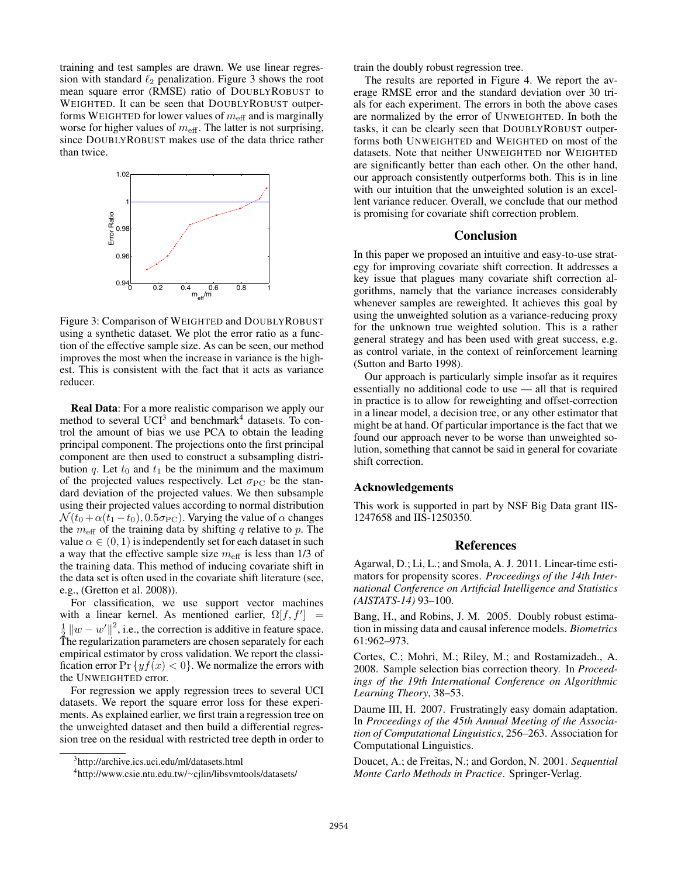training and test samples are drawn. We use linear regression with standard  $\ell_2$  penalization. Figure 3 shows the root mean square error (RMSE) ratio of DOUBLYROBUST to WEIGHTED. It can be seen that DOUBLYROBUST outperforms WEIGHTED for lower values of  $m_{\text{eff}}$  and is marginally worse for higher values of  $m_{\text{eff}}$ . The latter is not surprising, since DOUBLYROBUST makes use of the data thrice rather than twice.



Figure 3: Comparison of WEIGHTED and DOUBLYROBUST using a synthetic dataset. We plot the error ratio as a function of the effective sample size. As can be seen, our method improves the most when the increase in variance is the highest. This is consistent with the fact that it acts as variance reducer.

Real Data: For a more realistic comparison we apply our method to several  $UCI<sup>3</sup>$  and benchmark<sup>4</sup> datasets. To control the amount of bias we use PCA to obtain the leading principal component. The projections onto the first principal component are then used to construct a subsampling distribution q. Let  $t_0$  and  $t_1$  be the minimum and the maximum of the projected values respectively. Let  $\sigma_{\rm PC}$  be the standard deviation of the projected values. We then subsample using their projected values according to normal distribution  $\mathcal{N}(t_0 + \alpha(t_1 - t_0), 0.5\sigma_{\text{PC}})$ . Varying the value of  $\alpha$  changes the  $m_{\text{eff}}$  of the training data by shifting q relative to p. The value  $\alpha \in (0, 1)$  is independently set for each dataset in such a way that the effective sample size  $m_{\text{eff}}$  is less than 1/3 of the training data. This method of inducing covariate shift in the data set is often used in the covariate shift literature (see, e.g., (Gretton et al. 2008)).

For classification, we use support vector machines with a linear kernel. As mentioned earlier,  $\Omega[f, f'] =$  $\frac{1}{2} ||w - w'||^2$ , i.e., the correction is additive in feature space.  $2 \parallel \omega \parallel \omega$ , i.e., the correction is additive in reduce space.<br>The regularization parameters are chosen separately for each empirical estimator by cross validation. We report the classification error  $Pr \{yf(x) < 0\}$ . We normalize the errors with the UNWEIGHTED error.

For regression we apply regression trees to several UCI datasets. We report the square error loss for these experiments. As explained earlier, we first train a regression tree on the unweighted dataset and then build a differential regression tree on the residual with restricted tree depth in order to

train the doubly robust regression tree.

The results are reported in Figure 4. We report the average RMSE error and the standard deviation over 30 trials for each experiment. The errors in both the above cases are normalized by the error of UNWEIGHTED. In both the tasks, it can be clearly seen that DOUBLYROBUST outperforms both UNWEIGHTED and WEIGHTED on most of the datasets. Note that neither UNWEIGHTED nor WEIGHTED are significantly better than each other. On the other hand, our approach consistently outperforms both. This is in line with our intuition that the unweighted solution is an excellent variance reducer. Overall, we conclude that our method is promising for covariate shift correction problem.

# **Conclusion**

In this paper we proposed an intuitive and easy-to-use strategy for improving covariate shift correction. It addresses a key issue that plagues many covariate shift correction algorithms, namely that the variance increases considerably whenever samples are reweighted. It achieves this goal by using the unweighted solution as a variance-reducing proxy for the unknown true weighted solution. This is a rather general strategy and has been used with great success, e.g. as control variate, in the context of reinforcement learning (Sutton and Barto 1998).

Our approach is particularly simple insofar as it requires essentially no additional code to use — all that is required in practice is to allow for reweighting and offset-correction in a linear model, a decision tree, or any other estimator that might be at hand. Of particular importance is the fact that we found our approach never to be worse than unweighted solution, something that cannot be said in general for covariate shift correction.

# Acknowledgements

This work is supported in part by NSF Big Data grant IIS-1247658 and IIS-1250350.

## References

Agarwal, D.; Li, L.; and Smola, A. J. 2011. Linear-time estimators for propensity scores. *Proceedings of the 14th International Conference on Artificial Intelligence and Statistics (AISTATS-14)* 93–100.

Bang, H., and Robins, J. M. 2005. Doubly robust estimation in missing data and causal inference models. *Biometrics* 61:962–973.

Cortes, C.; Mohri, M.; Riley, M.; and Rostamizadeh., A. 2008. Sample selection bias correction theory. In *Proceedings of the 19th International Conference on Algorithmic Learning Theory*, 38–53.

Daume III, H. 2007. Frustratingly easy domain adaptation. In *Proceedings of the 45th Annual Meeting of the Association of Computational Linguistics*, 256–263. Association for Computational Linguistics.

Doucet, A.; de Freitas, N.; and Gordon, N. 2001. *Sequential Monte Carlo Methods in Practice*. Springer-Verlag.

<sup>3</sup> http://archive.ics.uci.edu/ml/datasets.html

<sup>4</sup> http://www.csie.ntu.edu.tw/∼cjlin/libsvmtools/datasets/